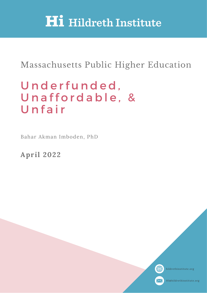# **Hi** Hildreth Institute

## Massachusetts Public Higher Education

## Underfunded, Unaffordable, & Unfair

Bahar Akman Imboden, PhD

**April 2022**



hildrethinstitute.org



HI@hildrethinstitute.org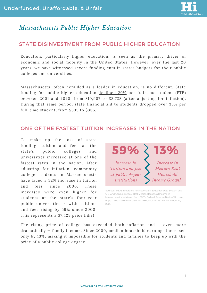

## *Massachusetts Public Higher Education*

### STATE DISINVESTMENT FROM PUBLIC HIGHER EDUCATION

Education, particularly higher education, is seen as the primary driver of economic and social mobility in the United States. However, over the last 20 years, we have witnessed severe funding cuts in states budgets for their public colleges and universities.

Massachusetts, [o](https://shef.sheeo.org/state-profile/massachusetts/?inflation=HECA#perstudent-education-appropriations-over-time)ften heralded as a leader in education, is no different. State funding for public higher education [declined](https://shef.sheeo.org/wp-content/uploads/2021/05/SHEEO_SHEF_FY20_Report.pdf) 20% per [full-time](https://shef.sheeo.org/state-profile/massachusetts/?inflation=HECA#perstudent-education-appropriations-over-time) student (FTE) between 2001 and 2020: from \$10,907 to \$8,728 (after [adjusting](https://shef.sheeo.org/state-profile/massachusetts/?inflation=HECA#perstudent-education-appropriations-over-time) for inflation). During that same period, state financial aid to students [dropped](https://shef.sheeo.org/wp-content/uploads/2021/05/SHEEO_SHEF_FY20_Report.pdf) over 35% per [full-time](https://shef.sheeo.org/state-profile/massachusetts/?inflation=HECA#state-financial-aid-for-students-attending-public-institutions) student, from \$595 to \$386.

#### ONE OF THE FASTEST TUITION INCREASES IN THE NATION

To make up the loss of state funding, tuition and fees at the state's public colleges and universities increased at one of the fastest rates in the nation. After adjusting for inflation, community college students in Massachusetts have faced a 52% increase in tuition and fees since 2000. These increases were even higher for students at the state's four-year public universities - with tuitions and fees rising by 59% since 2000. This represents a \$7,423 price hike!



Sources: IPEDS Integrated Postsecondary Education Data System and U.S. And Census Bureau, Real Median Household Income in Massachusetts retrieved from FRED, Federal Reserve Bank of St. Louis; https://fred.stlouisfed.org/series/MEHOINUSMAA672N, November 12, 2021.

The rising price of college has exceeded both inflation and – even more dramatically — family income. Since 2000, median household earnings increased only by 13%, making it impossible for students and families to keep up with the price of a public college degree.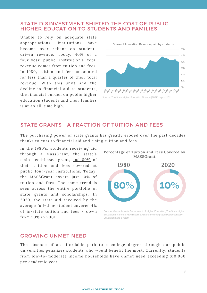#### STATE DISINVESTMENT SHIFTED THE COST OF PUBLIC HIGHER EDUCATION TO STUDENTS AND FAMILIES

Unable to rely on adequate state appropriations, institutions have become over reliant on studentdriven revenue. Today, 40% of a four-year public institution's total revenue comes from tuition and fees. In 1980, tuition and fees accounted for less than a quarter of their total revenue. With this shift and the decline in financial aid to students, the financial burden on public higher education students and their families is at an all-time high.



#### STATE GRANTS - A FRACTION OF TUITION AND FEES

The purchasing power of state grants has greatly eroded over the past decades thanks to cuts to financial aid and rising tuition and fees.

In the 1980's, students receiving aid through a MassGrant, the state's main need-based grant, had [80%](https://hildrethinstitute.org/wp-content/uploads/2021/02/MassGrant-small-in-PDF2.pdf) of their tuition and fees covered at public four-year institutions. Today, the MASSGrant covers just 10% of tuition and fees. The same trend is seen across the entire portfolio of state grants and scholarships. In 2020, the state aid received by the average full-time student covered 4% of in-state tuition and fees - down from 20% in 2001.



Source: Massachusetts Department of Higher Education, The State Higher Education Finance (SHEF) report 2021 and the Integrated Postsecondary Education Data System

#### GROWING UNMET NEED

The absence of an affordable path to a college degree through our public universities penalizes students who would benefit the most. Currently, students from low-to-moderate income households have unmet need [exceeding](https://hildrethinstitute.org/wp-content/uploads/2020/10/HI-Equity-in-Higher-Education-Final-1.pdf) \$10,000 per academic year.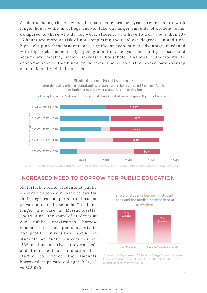Students facing these levels of unmet expenses per year are forced to work longer hours while in college and/or take out larger amounts of student loans. Compared to those who do not work, students who have to work more than 10- 15 hours are more at risk of not completing their college degrees. In addition, high debt puts these students at a significant economic disadvantage. Burdened with high debt immediately upon graduation, delays their ability to save and accumulate wealth, which increases household financial vulnerability to economic shocks. Combined, these factors serve to further exacerbate existing economic and racial disparities.



Source: U.S. Department of Education, National Center for Education Statistics, 2015-16 National Postsecondary Student Aid Study (NPSAS:16)

#### INCREASED NEED TO BORROW FOR PUBLIC EDUCATION

Historically, fewer students at public universities took out loans to pay for their degrees compared to those at private non-profit schools. This is no longer the case in Massachusetts. Today, a greater share of students at our public universities borrow compared to their peers at private non-profit universities (63% of students at public universities vs. 53% of those at private universities), and their debt at graduation has started to exceed the amounts borrowed at private colleges (\$24,112 vs \$23,940).



Sources: U.S. Department of Education College Scorecard dataset-Share of student with debt dates from 2019-20, and the median student debt dates from 2018-19.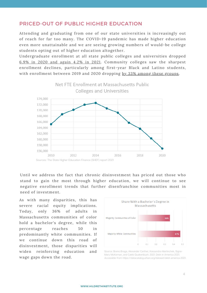#### PRICED-OUT OF PUBLIC HIGHER EDUCATION

Attending and graduating from one of our state universities is increasingly out of reach for far too many. The COVID-19 pandemic has made higher education even more unattainable and we are seeing growing numbers of would-be college students opting out of higher education altogether.

Undergraduate enrollment at all state public colleges and universities dropped 6.9% in 2020 and [again](https://www.mass.edu/datacenter/2021enrollmentestimates.asp) 4.2% in 2021. Community colleges saw the sharpest enrollment declines, particularly among first-year Black and Latino students, with enrollment between 2019 and 2020 dropping by 33% among these [groups](https://www.mass.edu/datacenter/2021enrollmentestimates.asp).



Until we address the fact that chronic disinvestment has priced out those who stand to gain the most through higher education, we will continue to see negative enrollment trends that further disenfranchise communities most in need of investment.

As with many disparities, this has severe racial equity implications. Today, only 36% of adults in Massachusetts communities of color hold a bachelor's degree, while this percentage reaches 50 in predominantly white communities. If we continue down this road of disinvestment, those disparities will widen reinforcing education and wage gaps down the road.



Source: Breno Braga, Alexander Carther, Kassandra Martinchek, Signe-Mary McKernan, and Caleb Quakenbush. 2021. Debt in America 2021. Accessible from https://datacatalog.urban.org/dataset/debt-america-2021.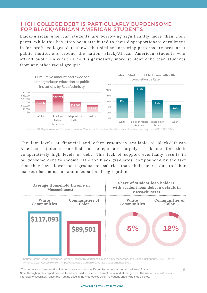#### HIGH COLLEGE DEBT IS PARTICULARLY BURDENSOME FOR BLACK/AFRICAN AMERICAN STUDENTS

Black/African American students are borrowing significantly more than their peers. While this has often been attributed to their disproportionate enrollment in for-profit colleges, data shows that similar borrowing patterns are present at public institutions around the nation. Black/African American students who attend public universities hold significantly more student debt than students from any other racial groups\*.



Source: U.S. Department of Education, National Center for Education Statistics, Baccalaureate and Beyond- 2016/2017 (B&B).

The low levels of financial and other resources available to Black/African American students enrolled in college are largely to blame for their comparatively high levels of debt. This lack of support eventually results in burdensome debt to income ratio for Black graduates, compounded by the fact that they have lower post-graduation salaries than their peers, due to labor market discrimination and occupational segregation.



Source: Breno Braga, Alexander Carther, Kassandra Martinchek, Signe-Mary McKernan, and Caleb Quakenbush. 2021. Debt in America 2021. Accessible from https://datacatalog.urban.org/dataset/debt-america-2021.

\*The percentages presented in first two graphs are not specific to Massachusetts, but all the United States. Note: throughout this report, various terms are used to refer to different racial and ethnic groups. The use of different terms is intended to accurately reflect the framing used in the methodologies of the various underlying studies cited.

5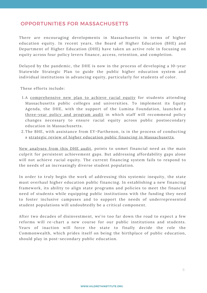#### OPPORTUNITIES FOR MASSACHUSETTS

There are encouraging developments in Massachusetts in terms of higher education equity. In recent years, the Board of Higher Education (BHE) and Department of Higher Education (DHE) have taken an active role in focusing on equity across four policy levers finance, access, retention, and completion.

Delayed by the pandemic, the DHE is now in the process of developing a 10-year Statewide Strategic Plan to guide the public higher education system and individual institutions in advancing equity, particularly for students of color.

These efforts include:

- 1.A <u>[comprehensive](https://www.mass.edu/about/newsreleases/nr-20200910.asp) new plan to achieve racial equity</u> for students attending Massachusetts public colleges and universities. To implement its Equity Agenda, the DHE, with the support of the Lumina Foundation, launched a [three-year](https://www.mass.edu/strategic/equity.asp) policy and program audit in which staff will recommend policy changes necessary to ensure racial equity across public postsecondary education in Massachusetts.
- 2.The BHE, with assistance from EY-Parthenon, is in the process of conducting a strategic review of higher education public financing in [Massachusetts](https://www.middlesex.mass.edu/professionaldevelopment/downloads/bhesept22.pdf).

New [analyses](https://www.mass.edu/datacenter/201910AdvancingEquityAgenda.asp) from this DHE audit, points to unmet financial need as the main culprit for persistent achievement gaps. But addressing affordability gaps alone will not achieve racial equity. The current financing system fails to respond to the needs of an increasingly diverse student population.

In order to truly begin the work of addressing this systemic inequity, the state must overhaul higher education public financing. In establishing a new financing framework, its ability to align state programs and policies to meet the financial need of students while equipping public institutions with the funding they need to foster inclusive campuses and to support the needs of underrepresented student populations will undoubtedly be a critical component.

After two decades of disinvestment, we're too far down the road to expect a few reforms will re-chart a new course for our public institutions and students. Years of inaction will force the state to finally decide the role the Commonwealth, which prides itself on being the birthplace of public education, should play in post-secondary public education.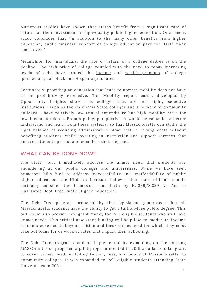Numerous studies have shown that states benefit from a significant rate of return for their investment in high-quality public higher education. One recent [study](https://www.researchgate.net/publication/5027313_The_Fiscal_Impacts_of_College_Attainment) concludes that "in addition to the many other benefits from higher [education,](https://www.researchgate.net/publication/5027313_The_Fiscal_Impacts_of_College_Attainment) public financial support of college education pays for itself many times over."

Meanwhile, for individuals, the rate of return of a college degree is on the decline. The high price of college coupled with the need to repay increasing levels of debt have eroded the [income](https://libertystreeteconomics.newyorkfed.org/2014/09/college-may-not-pay-off-for-everyone/) and wealth [premium](https://www.epi.org/blog/stark-black-white-divide-in-wages-is-widening-further/) of college particularly for black and Hispanic graduates.

Fortunately, providing an education that leads to upward mobility does not have to be prohibitively expensive. The Mobility report cards, developed by [Opportunity](https://opportunityinsights.org/paper/mobilityreportcards/?__cf_chl_captcha_tk__=fbd7005357a68afac77f82f735541ca37af45fef-1574948173-0-Aci6KTKPHk6Dlb8Yob2ksYpUhSQxnFwTo0F2IXd-g3Leg3oQMvMmGmrpI1-PvXQKToRLsBi9jHH4JKTFOrsaFcOQSO0aCXNEQUej8_Gb75x85jk_VgskLMJdNPUsn92lMVZ_44ghx4KO83TpZUqN1zU1A2-PMWK2lWIjlh6UKEGEo9heM1ZwwaDFITvfJppojv5xOjdG-phpcL_Dtm2HEGCbJbY12o8NRHwE_fiYXzZ5Wl_PvsXe09pAY-5TTKT3s12VSTPqK6duzIb6qrj8yNy3-SqkAtqI4x3h32Hjh_mHIvKBchGBKghXacKxH52yJCIuCfZuIubfYmo33lE8xVj1BMcj4d019Vcb9uvdsAxS-acObEpe4usYz3oUZ402-fc3D30SdgTPd5vMtCOWEdw) Insights show that colleges that are not highly selective institutions - such as the California State colleges and a number of community colleges - have relatively low annual expenditure but high mobility rates for low-income students. From a policy perspective, it would be valuable to better understand and learn from these systems, so that Massachusetts can strike the right balance of reducing administrative bloat that is raising costs without benefiting students, while investing in instruction and support services that ensures students persist and complete their degrees.

#### WHAT CAN BE DONE NOW?

The state must immediately address the unmet need that students are shouldering at our public colleges and universities. While we have seen numerous bills filed to address inaccessibility and unaffordability of public higher education, the Hildreth Institute believes that state officials should seriously consider the framework put forth by [H.1339/S.829](https://www.google.com/url?q=https://malegislature.gov/Bills/192/H1339&sa=D&source=docs&ust=1647509656521756&usg=AOvVaw2oPJJJq5iKtJK8A3wuWP4C) An Act to Guarantee Debt-Free Public Higher Education.

The Debt-Free program proposed by this legislation guarantees that all Massachusetts students have the ability to get a tuition-free public degree. This bill would also provide new grant money for Pell-eligible students who still have unmet needs. This critical new grant funding will help low-to-moderate-income students cover costs beyond tuition and fees- unmet need for which they must take out loans for or work at rates that impact their schooling.

The Debt-Free program could be implemented by expanding on the existing MASSGrant Plus program, a pilot program created in 2019 as a last-dollar grant to cover unmet need, including tuition, fees, and books at Massachusetts' 15 community colleges. It was expanded to Pell-eligible students attending State Universities in 2021.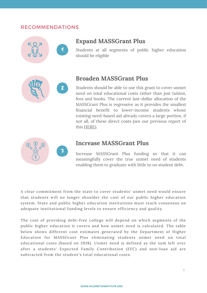#### RECOMMENDATIONS



## **Expand MASSGrant Plus**

Students at all segments of public higher education should be eligible

## **Broaden MASSGrant Plus**

Students should be able to use this grant to cover unmet need on total educational costs rather than just tuition, fees and books. The current last-dollar allocation of the MASSGrant Plus is regressive as it provides the smallest financial benefit to lower-income students whose existing need-based aid already covers a large portion, if not all, of these direct costs (see our previous report of this [HERE](https://hildrethinstitute.org/wp-content/uploads/2020/10/HI-Equity-in-Higher-Education-Final-1.pdfhttps:/hildrethinstitute.org/wp-content/uploads/2020/10/Brief-HI_Equity-in-Higher-Ed.pdf)).



### **Increase MASSGrant Plus**

Increase MASSGrant Plus funding so that it can meaningfully cover the true unmet need of students enabling them to graduate with little to no student debt.

A clear commitment from the state to cover students' unmet need would ensure that students will no longer shoulder the cost of our public higher education system. State and public higher education institutions must reach consensus on adequate institutional funding levels to ensure efficiency and quality.

The cost of providing debt-free college will depend on which segments of the public higher education it covers and how unmet need is calculated. The table below shows different cost estimates generated by the Department of Higher Education for MASSGrant Plus eliminating students unmet need on total educational costs (based on 2018). Unmet need is defined as the sum left over after a students' Expected Family Contribution (EFC) and non-loan aid are subtracted from the student's total educational costs.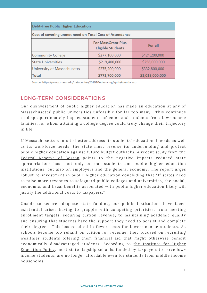| <b>Debt-Free Public Higher Education</b>                |                                                       |                 |
|---------------------------------------------------------|-------------------------------------------------------|-----------------|
| Cost of covering unmet need on Total Cost of Attendance |                                                       |                 |
|                                                         | <b>For MassGrant Plus</b><br><b>Eligible Students</b> | For all         |
| <b>Community College</b>                                | \$277,100,000                                         | \$424,200,000   |
| <b>State Universities</b>                               | \$219,400,000                                         | \$258,000,000   |
| University of Massachusetts                             | \$275,200,000                                         | \$332,800,000   |
| <b>Total</b>                                            | \$771,700,000                                         | \$1,015,000,000 |

Source: https://www.mass.edu/datacenter/201910AdvancingEquityAgenda.asp

#### LONG-TERM CONSIDERATIONS

Our disinvestment of public higher education has made an education at any of Massachusetts' public universities unfeasible for far too many. This continues to disproportionately impact students of color and students from low-income families, for whom attaining a college degree could truly change their trajectory in life.

If Massachusetts wants to better address its students' educational needs as well as its workforce needs, the state must reverse its underfunding and protect public higher [education](https://eric.ed.gov/?id=ED594133) against future budget cutbacks. A recent study from the Federal Reserve of Boston points to the negative impacts reduced state appropriations has not only on our students and public higher education institutions, but also on employers and the general economy. The report urges robust re-investment in public higher education concluding that "If states need to raise more revenues to safeguard public colleges and universities, the social, economic, and fiscal benefits associated with public higher education likely will justify the additional costs to taxpayers."

Unable to secure adequate state funding, our public institutions have faced existential crises having to grapple with competing priorities, from meeting enrollment targets, securing tuition revenue, to maintaining academic quality and ensuring that students have the support they need to persist and complete their degrees. This has resulted in fewer seats for lower-income students. As schools become too reliant on tuition for revenue, they focused on recruiting wealthier students offering them financial aid that might otherwise benefit economically [disadvantaged](https://www.ihep.org/press/ihep-analysis-finds-the-majority-of-state-flagship-universities-fall-short-of-their-promise-of-an-affordable-education-for-students/) students. According to the Institute for Higher Education Policy, most state flagship schools, funded by taxpayers to serve lowincome students, are no longer affordable even for students from middle income households.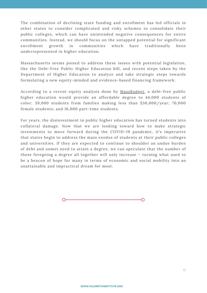The combination of declining state funding and enrollment has led officials in other states to consider complicated and risky schemes to consolidate their public colleges, which can have unintended negative consequences for entire communities. Instead, we should focus on the untapped potential for significant enrollment growth in communities which have traditionally been underrepresented in higher education.

Massachusetts seems poised to address these issues with potential legislation, like the Debt-Free Public Higher Education bill, and recent steps taken by the Department of Higher Education to analyze and take strategic steps towards formulating a new equity-minded and evidence-based financing framework.

According to a recent equity analysis done by [MassBudget](https://massbudget.org/wp-content/uploads/2021/03/Choosing-Equity.pdf), a debt-free public higher education would provide an affordable degree to 44,000 students of color; 39,000 students from families making less than \$30,000/year; 70,000 female students; and 16,000 part-time students.

For years, the disinvestment in public higher education has turned students into collateral damage. Now that we are looking toward how to make strategic investments to move forward during the COVID-19 pandemic, it's imperative that states begin to address the mass exodus of students at their public colleges and universities. If they are expected to continue to shoulder an undue burden of debt and unmet need to attain a degree, we can speculate that the number of those foregoing a degree all together will only increase – turning what used to be a beacon of hope for many in terms of economic and social mobility into an unattainable and impractical dream for most.